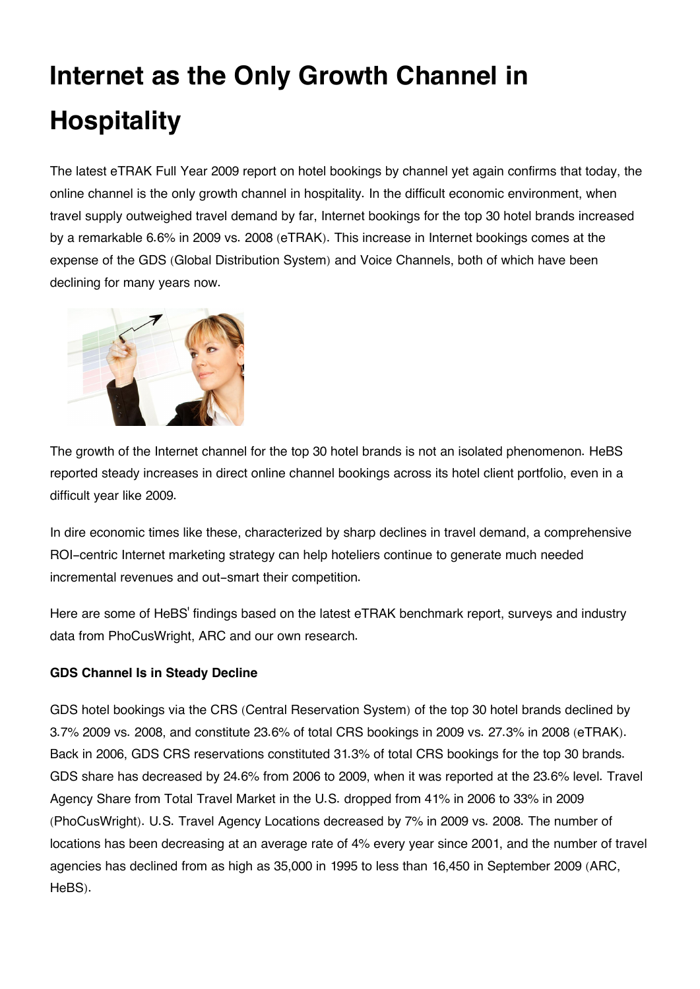# **Internet as the Only Growth Channel in Hospitality**

The latest eTRAK Full Year 2009 report on hotel bookings by channel yet again confirms that today, the online channel is the only growth channel in hospitality. In the difficult economic environment, when travel supply outweighed travel demand by far, Internet bookings for the top 30 hotel brands increased by a remarkable 6.6% in 2009 vs. 2008 (eTRAK). This increase in Internet bookings comes at the expense of the GDS (Global Distribution System) and Voice Channels, both of which have been declining for many years now.



The growth of the Internet channel for the top 30 hotel brands is not an isolated phenomenon. HeBS reported steady increases in direct online channel bookings across its hotel client portfolio, even in a difficult year like 2009.

In dire economic times like these, characterized by sharp declines in travel demand, a comprehensive ROI-centric Internet marketing strategy can help hoteliers continue to generate much needed incremental revenues and out-smart their competition.

Here are some of HeBS' findings based on the latest eTRAK benchmark report, surveys and industry data from PhoCusWright, ARC and our own research.

# **GDS Channel Is in Steady Decline**

GDS hotel bookings via the CRS (Central Reservation System) of the top 30 hotel brands declined by 3.7% 2009 vs. 2008, and constitute 23.6% of total CRS bookings in 2009 vs. 27.3% in 2008 (eTRAK). Back in 2006, GDS CRS reservations constituted 31.3% of total CRS bookings for the top 30 brands. GDS share has decreased by 24.6% from 2006 to 2009, when it was reported at the 23.6% level. Travel Agency Share from Total Travel Market in the U.S. dropped from 41% in 2006 to 33% in 2009 (PhoCusWright). U.S. Travel Agency Locations decreased by 7% in 2009 vs. 2008. The number of locations has been decreasing at an average rate of 4% every year since 2001, and the number of travel agencies has declined from as high as 35,000 in 1995 to less than 16,450 in September 2009 (ARC, HeBS).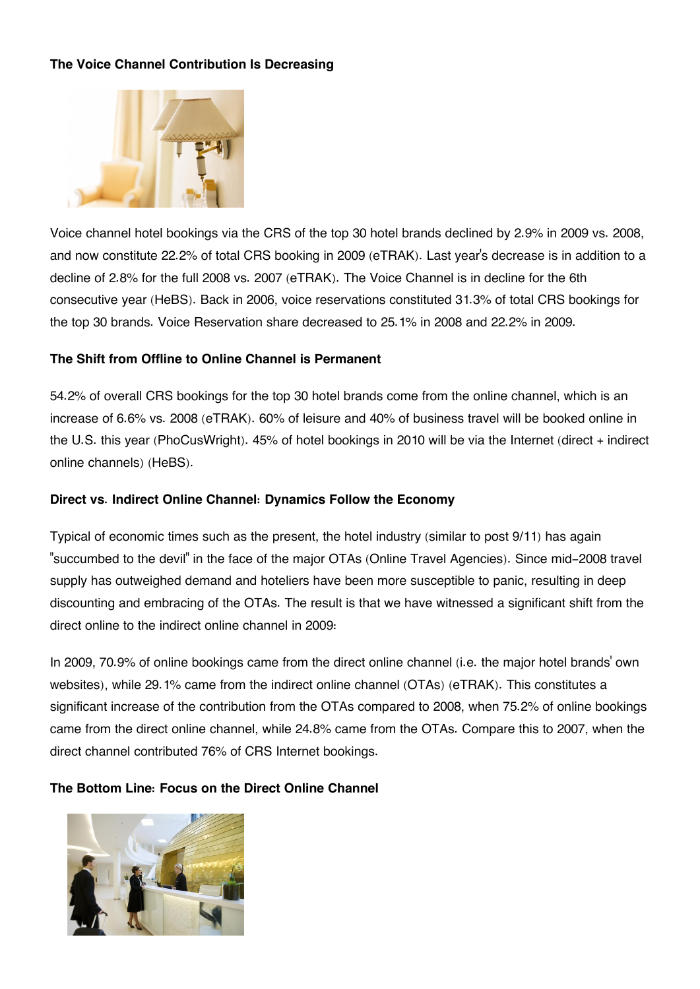# **The Voice Channel Contribution Is Decreasing**



Voice channel hotel bookings via the CRS of the top 30 hotel brands declined by 2.9% in 2009 vs. 2008, and now constitute 22.2% of total CRS booking in 2009 (eTRAK). Last year's decrease is in addition to a decline of 2.8% for the full 2008 vs. 2007 (eTRAK). The Voice Channel is in decline for the 6th consecutive year (HeBS). Back in 2006, voice reservations constituted 31.3% of total CRS bookings for the top 30 brands. Voice Reservation share decreased to 25.1% in 2008 and 22.2% in 2009.

# **The Shift from Offline to Online Channel is Permanent**

54.2% of overall CRS bookings for the top 30 hotel brands come from the online channel, which is an increase of 6.6% vs. 2008 (eTRAK). 60% of leisure and 40% of business travel will be booked online in the U.S. this year (PhoCusWright). 45% of hotel bookings in 2010 will be via the Internet (direct + indirect online channels) (HeBS).

## **Direct vs. Indirect Online Channel: Dynamics Follow the Economy**

Typical of economic times such as the present, the hotel industry (similar to post 9/11) has again "succumbed to the devil" in the face of the major OTAs (Online Travel Agencies). Since mid-2008 travel supply has outweighed demand and hoteliers have been more susceptible to panic, resulting in deep discounting and embracing of the OTAs. The result is that we have witnessed a significant shift from the direct online to the indirect online channel in 2009:

In 2009, 70.9% of online bookings came from the direct online channel (i.e. the major hotel brands' own websites), while 29.1% came from the indirect online channel (OTAs) (eTRAK). This constitutes a significant increase of the contribution from the OTAs compared to 2008, when 75.2% of online bookings came from the direct online channel, while 24.8% came from the OTAs. Compare this to 2007, when the direct channel contributed 76% of CRS Internet bookings.

# **The Bottom Line: Focus on the Direct Online Channel**